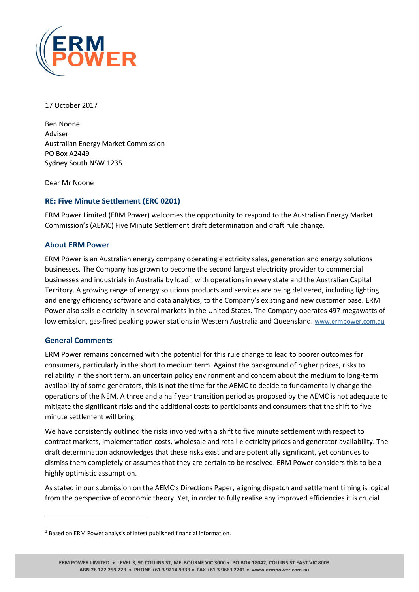

17 October 2017

Ben Noone Adviser Australian Energy Market Commission PO Box A2449 Sydney South NSW 1235

Dear Mr Noone

# **RE: Five Minute Settlement (ERC 0201)**

ERM Power Limited (ERM Power) welcomes the opportunity to respond to the Australian Energy Market Commission's (AEMC) Five Minute Settlement draft determination and draft rule change.

## **About ERM Power**

ERM Power is an Australian energy company operating electricity sales, generation and energy solutions businesses. The Company has grown to become the second largest electricity provider to commercial businesses and industrials in Australia by load<sup>1</sup>, with operations in every state and the Australian Capital Territory. A growing range of energy solutions products and services are being delivered, including lighting and energy efficiency software and data analytics, to the Company's existing and new customer base. ERM Power also sells electricity in several markets in the United States. The Company operates 497 megawatts of low emission, gas-fired peaking power stations in Western Australia and Queensland. [www.ermpower.com.au](http://www.ermpower.com.au/)

## **General Comments**

 $\overline{a}$ 

ERM Power remains concerned with the potential for this rule change to lead to poorer outcomes for consumers, particularly in the short to medium term. Against the background of higher prices, risks to reliability in the short term, an uncertain policy environment and concern about the medium to long-term availability of some generators, this is not the time for the AEMC to decide to fundamentally change the operations of the NEM. A three and a half year transition period as proposed by the AEMC is not adequate to mitigate the significant risks and the additional costs to participants and consumers that the shift to five minute settlement will bring.

We have consistently outlined the risks involved with a shift to five minute settlement with respect to contract markets, implementation costs, wholesale and retail electricity prices and generator availability. The draft determination acknowledges that these risks exist and are potentially significant, yet continues to dismiss them completely or assumes that they are certain to be resolved. ERM Power considers this to be a highly optimistic assumption.

As stated in our submission on the AEMC's Directions Paper, aligning dispatch and settlement timing is logical from the perspective of economic theory. Yet, in order to fully realise any improved efficiencies it is crucial

<sup>&</sup>lt;sup>1</sup> Based on ERM Power analysis of latest published financial information.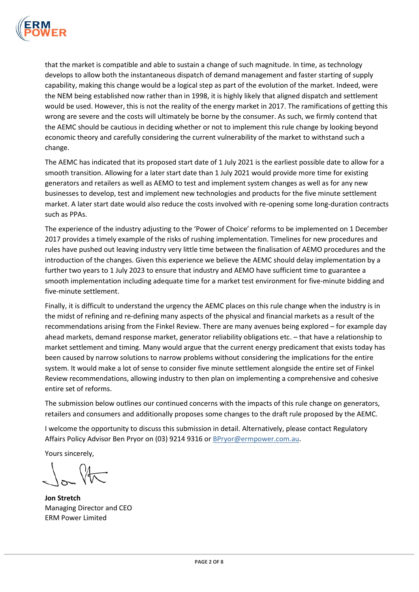

that the market is compatible and able to sustain a change of such magnitude. In time, as technology develops to allow both the instantaneous dispatch of demand management and faster starting of supply capability, making this change would be a logical step as part of the evolution of the market. Indeed, were the NEM being established now rather than in 1998, it is highly likely that aligned dispatch and settlement would be used. However, this is not the reality of the energy market in 2017. The ramifications of getting this wrong are severe and the costs will ultimately be borne by the consumer. As such, we firmly contend that the AEMC should be cautious in deciding whether or not to implement this rule change by looking beyond economic theory and carefully considering the current vulnerability of the market to withstand such a change.

The AEMC has indicated that its proposed start date of 1 July 2021 is the earliest possible date to allow for a smooth transition. Allowing for a later start date than 1 July 2021 would provide more time for existing generators and retailers as well as AEMO to test and implement system changes as well as for any new businesses to develop, test and implement new technologies and products for the five minute settlement market. A later start date would also reduce the costs involved with re-opening some long-duration contracts such as PPAs.

The experience of the industry adjusting to the 'Power of Choice' reforms to be implemented on 1 December 2017 provides a timely example of the risks of rushing implementation. Timelines for new procedures and rules have pushed out leaving industry very little time between the finalisation of AEMO procedures and the introduction of the changes. Given this experience we believe the AEMC should delay implementation by a further two years to 1 July 2023 to ensure that industry and AEMO have sufficient time to guarantee a smooth implementation including adequate time for a market test environment for five-minute bidding and five-minute settlement.

Finally, it is difficult to understand the urgency the AEMC places on this rule change when the industry is in the midst of refining and re-defining many aspects of the physical and financial markets as a result of the recommendations arising from the Finkel Review. There are many avenues being explored – for example day ahead markets, demand response market, generator reliability obligations etc. – that have a relationship to market settlement and timing. Many would argue that the current energy predicament that exists today has been caused by narrow solutions to narrow problems without considering the implications for the entire system. It would make a lot of sense to consider five minute settlement alongside the entire set of Finkel Review recommendations, allowing industry to then plan on implementing a comprehensive and cohesive entire set of reforms.

The submission below outlines our continued concerns with the impacts of this rule change on generators, retailers and consumers and additionally proposes some changes to the draft rule proposed by the AEMC.

I welcome the opportunity to discuss this submission in detail. Alternatively, please contact Regulatory Affairs Policy Advisor Ben Pryor on (03) 9214 9316 o[r BPryor@ermpower.com.au.](mailto:BPryor@ermpower.com.au)

Yours sincerely,

**Jon Stretch** Managing Director and CEO ERM Power Limited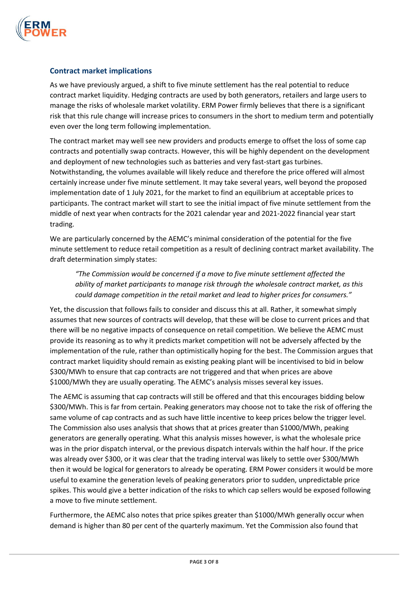

## **Contract market implications**

As we have previously argued, a shift to five minute settlement has the real potential to reduce contract market liquidity. Hedging contracts are used by both generators, retailers and large users to manage the risks of wholesale market volatility. ERM Power firmly believes that there is a significant risk that this rule change will increase prices to consumers in the short to medium term and potentially even over the long term following implementation.

The contract market may well see new providers and products emerge to offset the loss of some cap contracts and potentially swap contracts. However, this will be highly dependent on the development and deployment of new technologies such as batteries and very fast-start gas turbines. Notwithstanding, the volumes available will likely reduce and therefore the price offered will almost certainly increase under five minute settlement. It may take several years, well beyond the proposed implementation date of 1 July 2021, for the market to find an equilibrium at acceptable prices to participants. The contract market will start to see the initial impact of five minute settlement from the middle of next year when contracts for the 2021 calendar year and 2021-2022 financial year start trading.

We are particularly concerned by the AEMC's minimal consideration of the potential for the five minute settlement to reduce retail competition as a result of declining contract market availability. The draft determination simply states:

*"The Commission would be concerned if a move to five minute settlement affected the ability of market participants to manage risk through the wholesale contract market, as this could damage competition in the retail market and lead to higher prices for consumers."*

Yet, the discussion that follows fails to consider and discuss this at all. Rather, it somewhat simply assumes that new sources of contracts will develop, that these will be close to current prices and that there will be no negative impacts of consequence on retail competition. We believe the AEMC must provide its reasoning as to why it predicts market competition will not be adversely affected by the implementation of the rule, rather than optimistically hoping for the best. The Commission argues that contract market liquidity should remain as existing peaking plant will be incentivised to bid in below \$300/MWh to ensure that cap contracts are not triggered and that when prices are above \$1000/MWh they are usually operating. The AEMC's analysis misses several key issues.

The AEMC is assuming that cap contracts will still be offered and that this encourages bidding below \$300/MWh. This is far from certain. Peaking generators may choose not to take the risk of offering the same volume of cap contracts and as such have little incentive to keep prices below the trigger level. The Commission also uses analysis that shows that at prices greater than \$1000/MWh, peaking generators are generally operating. What this analysis misses however, is what the wholesale price was in the prior dispatch interval, or the previous dispatch intervals within the half hour. If the price was already over \$300, or it was clear that the trading interval was likely to settle over \$300/MWh then it would be logical for generators to already be operating. ERM Power considers it would be more useful to examine the generation levels of peaking generators prior to sudden, unpredictable price spikes. This would give a better indication of the risks to which cap sellers would be exposed following a move to five minute settlement.

Furthermore, the AEMC also notes that price spikes greater than \$1000/MWh generally occur when demand is higher than 80 per cent of the quarterly maximum. Yet the Commission also found that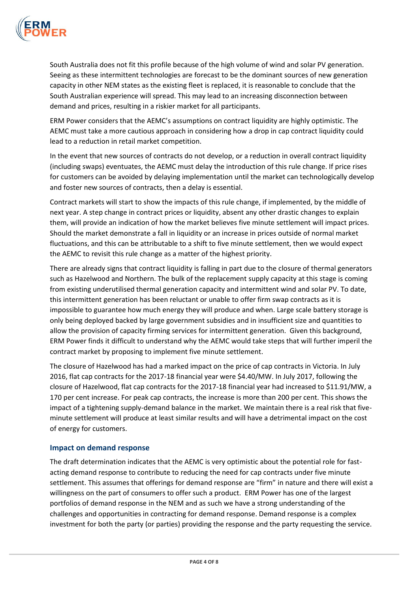

South Australia does not fit this profile because of the high volume of wind and solar PV generation. Seeing as these intermittent technologies are forecast to be the dominant sources of new generation capacity in other NEM states as the existing fleet is replaced, it is reasonable to conclude that the South Australian experience will spread. This may lead to an increasing disconnection between demand and prices, resulting in a riskier market for all participants.

ERM Power considers that the AEMC's assumptions on contract liquidity are highly optimistic. The AEMC must take a more cautious approach in considering how a drop in cap contract liquidity could lead to a reduction in retail market competition.

In the event that new sources of contracts do not develop, or a reduction in overall contract liquidity (including swaps) eventuates, the AEMC must delay the introduction of this rule change. If price rises for customers can be avoided by delaying implementation until the market can technologically develop and foster new sources of contracts, then a delay is essential.

Contract markets will start to show the impacts of this rule change, if implemented, by the middle of next year. A step change in contract prices or liquidity, absent any other drastic changes to explain them, will provide an indication of how the market believes five minute settlement will impact prices. Should the market demonstrate a fall in liquidity or an increase in prices outside of normal market fluctuations, and this can be attributable to a shift to five minute settlement, then we would expect the AEMC to revisit this rule change as a matter of the highest priority.

There are already signs that contract liquidity is falling in part due to the closure of thermal generators such as Hazelwood and Northern. The bulk of the replacement supply capacity at this stage is coming from existing underutilised thermal generation capacity and intermittent wind and solar PV. To date, this intermittent generation has been reluctant or unable to offer firm swap contracts as it is impossible to guarantee how much energy they will produce and when. Large scale battery storage is only being deployed backed by large government subsidies and in insufficient size and quantities to allow the provision of capacity firming services for intermittent generation. Given this background, ERM Power finds it difficult to understand why the AEMC would take steps that will further imperil the contract market by proposing to implement five minute settlement.

The closure of Hazelwood has had a marked impact on the price of cap contracts in Victoria. In July 2016, flat cap contracts for the 2017-18 financial year were \$4.40/MW. In July 2017, following the closure of Hazelwood, flat cap contracts for the 2017-18 financial year had increased to \$11.91/MW, a 170 per cent increase. For peak cap contracts, the increase is more than 200 per cent. This shows the impact of a tightening supply-demand balance in the market. We maintain there is a real risk that fiveminute settlement will produce at least similar results and will have a detrimental impact on the cost of energy for customers.

#### **Impact on demand response**

The draft determination indicates that the AEMC is very optimistic about the potential role for fastacting demand response to contribute to reducing the need for cap contracts under five minute settlement. This assumes that offerings for demand response are "firm" in nature and there will exist a willingness on the part of consumers to offer such a product. ERM Power has one of the largest portfolios of demand response in the NEM and as such we have a strong understanding of the challenges and opportunities in contracting for demand response. Demand response is a complex investment for both the party (or parties) providing the response and the party requesting the service.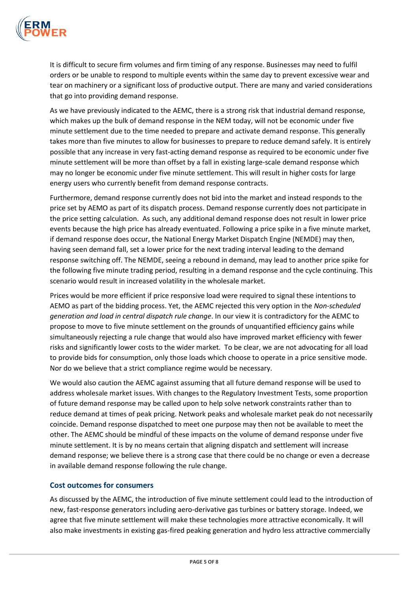

It is difficult to secure firm volumes and firm timing of any response. Businesses may need to fulfil orders or be unable to respond to multiple events within the same day to prevent excessive wear and tear on machinery or a significant loss of productive output. There are many and varied considerations that go into providing demand response.

As we have previously indicated to the AEMC, there is a strong risk that industrial demand response, which makes up the bulk of demand response in the NEM today, will not be economic under five minute settlement due to the time needed to prepare and activate demand response. This generally takes more than five minutes to allow for businesses to prepare to reduce demand safely. It is entirely possible that any increase in very fast-acting demand response as required to be economic under five minute settlement will be more than offset by a fall in existing large-scale demand response which may no longer be economic under five minute settlement. This will result in higher costs for large energy users who currently benefit from demand response contracts.

Furthermore, demand response currently does not bid into the market and instead responds to the price set by AEMO as part of its dispatch process. Demand response currently does not participate in the price setting calculation. As such, any additional demand response does not result in lower price events because the high price has already eventuated. Following a price spike in a five minute market, if demand response does occur, the National Energy Market Dispatch Engine (NEMDE) may then, having seen demand fall, set a lower price for the next trading interval leading to the demand response switching off. The NEMDE, seeing a rebound in demand, may lead to another price spike for the following five minute trading period, resulting in a demand response and the cycle continuing. This scenario would result in increased volatility in the wholesale market.

Prices would be more efficient if price responsive load were required to signal these intentions to AEMO as part of the bidding process. Yet, the AEMC rejected this very option in the *Non-scheduled generation and load in central dispatch rule change*. In our view it is contradictory for the AEMC to propose to move to five minute settlement on the grounds of unquantified efficiency gains while simultaneously rejecting a rule change that would also have improved market efficiency with fewer risks and significantly lower costs to the wider market. To be clear, we are not advocating for all load to provide bids for consumption, only those loads which choose to operate in a price sensitive mode. Nor do we believe that a strict compliance regime would be necessary.

We would also caution the AEMC against assuming that all future demand response will be used to address wholesale market issues. With changes to the Regulatory Investment Tests, some proportion of future demand response may be called upon to help solve network constraints rather than to reduce demand at times of peak pricing. Network peaks and wholesale market peak do not necessarily coincide. Demand response dispatched to meet one purpose may then not be available to meet the other. The AEMC should be mindful of these impacts on the volume of demand response under five minute settlement. It is by no means certain that aligning dispatch and settlement will increase demand response; we believe there is a strong case that there could be no change or even a decrease in available demand response following the rule change.

## **Cost outcomes for consumers**

As discussed by the AEMC, the introduction of five minute settlement could lead to the introduction of new, fast-response generators including aero-derivative gas turbines or battery storage. Indeed, we agree that five minute settlement will make these technologies more attractive economically. It will also make investments in existing gas-fired peaking generation and hydro less attractive commercially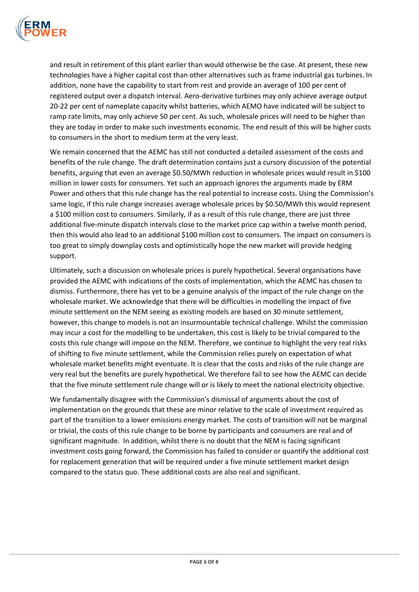

and result in retirement of this plant earlier than would otherwise be the case. At present, these new technologies have a higher capital cost than other alternatives such as frame industrial gas turbines. In addition, none have the capability to start from rest and provide an average of 100 per cent of registered output over a dispatch interval. Aero-derivative turbines may only achieve average output 20-22 per cent of nameplate capacity whilst batteries, which AEMO have indicated will be subject to ramp rate limits, may only achieve 50 per cent. As such, wholesale prices will need to be higher than they are today in order to make such investments economic. The end result of this will be higher costs to consumers in the short to medium term at the very least.

We remain concerned that the AEMC has still not conducted a detailed assessment of the costs and benefits of the rule change. The draft determination contains just a cursory discussion of the potential benefits, arguing that even an average \$0.50/MWh reduction in wholesale prices would result in \$100 million in lower costs for consumers. Yet such an approach ignores the arguments made by ERM Power and others that this rule change has the real potential to increase costs. Using the Commission's same logic, if this rule change increases average wholesale prices by \$0.50/MWh this would represent a \$100 million cost to consumers. Similarly, if as a result of this rule change, there are just three additional five-minute dispatch intervals close to the market price cap within a twelve month period, then this would also lead to an additional \$100 million cost to consumers. The impact on consumers is too great to simply downplay costs and optimistically hope the new market will provide hedging support.

Ultimately, such a discussion on wholesale prices is purely hypothetical. Several organisations have provided the AEMC with indications of the costs of implementation, which the AEMC has chosen to dismiss. Furthermore, there has yet to be a genuine analysis of the impact of the rule change on the wholesale market. We acknowledge that there will be difficulties in modelling the impact of five minute settlement on the NEM seeing as existing models are based on 30 minute settlement, however, this change to models is not an insurmountable technical challenge. Whilst the commission may incur a cost for the modelling to be undertaken, this cost is likely to be trivial compared to the costs this rule change will impose on the NEM. Therefore, we continue to highlight the very real risks of shifting to five minute settlement, while the Commission relies purely on expectation of what wholesale market benefits might eventuate. It is clear that the costs and risks of the rule change are very real but the benefits are purely hypothetical. We therefore fail to see how the AEMC can decide that the five minute settlement rule change will or is likely to meet the national electricity objective.

We fundamentally disagree with the Commission's dismissal of arguments about the cost of implementation on the grounds that these are minor relative to the scale of investment required as part of the transition to a lower emissions energy market. The costs of transition will not be marginal or trivial, the costs of this rule change to be borne by participants and consumers are real and of significant magnitude. In addition, whilst there is no doubt that the NEM is facing significant investment costs going forward, the Commission has failed to consider or quantify the additional cost for replacement generation that will be required under a five minute settlement market design compared to the status quo. These additional costs are also real and significant.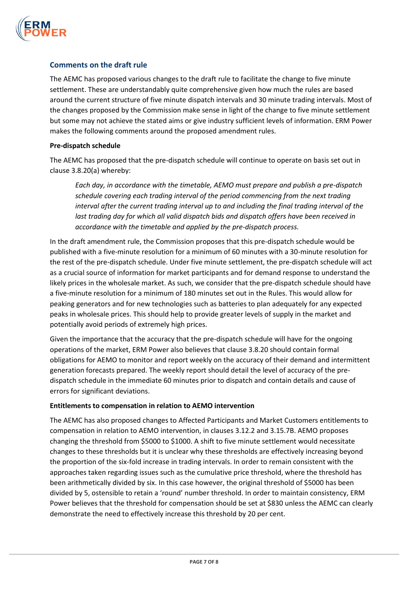

## **Comments on the draft rule**

The AEMC has proposed various changes to the draft rule to facilitate the change to five minute settlement. These are understandably quite comprehensive given how much the rules are based around the current structure of five minute dispatch intervals and 30 minute trading intervals. Most of the changes proposed by the Commission make sense in light of the change to five minute settlement but some may not achieve the stated aims or give industry sufficient levels of information. ERM Power makes the following comments around the proposed amendment rules.

#### **Pre-dispatch schedule**

The AEMC has proposed that the pre-dispatch schedule will continue to operate on basis set out in clause 3.8.20(a) whereby:

*Each day, in accordance with the timetable, AEMO must prepare and publish a pre-dispatch schedule covering each trading interval of the period commencing from the next trading interval after the current trading interval up to and including the final trading interval of the*  last trading day for which all valid dispatch bids and dispatch offers have been received in *accordance with the timetable and applied by the pre-dispatch process.*

In the draft amendment rule, the Commission proposes that this pre-dispatch schedule would be published with a five-minute resolution for a minimum of 60 minutes with a 30-minute resolution for the rest of the pre-dispatch schedule. Under five minute settlement, the pre-dispatch schedule will act as a crucial source of information for market participants and for demand response to understand the likely prices in the wholesale market. As such, we consider that the pre-dispatch schedule should have a five-minute resolution for a minimum of 180 minutes set out in the Rules. This would allow for peaking generators and for new technologies such as batteries to plan adequately for any expected peaks in wholesale prices. This should help to provide greater levels of supply in the market and potentially avoid periods of extremely high prices.

Given the importance that the accuracy that the pre-dispatch schedule will have for the ongoing operations of the market, ERM Power also believes that clause 3.8.20 should contain formal obligations for AEMO to monitor and report weekly on the accuracy of their demand and intermittent generation forecasts prepared. The weekly report should detail the level of accuracy of the predispatch schedule in the immediate 60 minutes prior to dispatch and contain details and cause of errors for significant deviations.

#### **Entitlements to compensation in relation to AEMO intervention**

The AEMC has also proposed changes to Affected Participants and Market Customers entitlements to compensation in relation to AEMO intervention, in clauses 3.12.2 and 3.15.7B. AEMO proposes changing the threshold from \$5000 to \$1000. A shift to five minute settlement would necessitate changes to these thresholds but it is unclear why these thresholds are effectively increasing beyond the proportion of the six-fold increase in trading intervals. In order to remain consistent with the approaches taken regarding issues such as the cumulative price threshold, where the threshold has been arithmetically divided by six. In this case however, the original threshold of \$5000 has been divided by 5, ostensible to retain a 'round' number threshold. In order to maintain consistency, ERM Power believes that the threshold for compensation should be set at \$830 unless the AEMC can clearly demonstrate the need to effectively increase this threshold by 20 per cent.